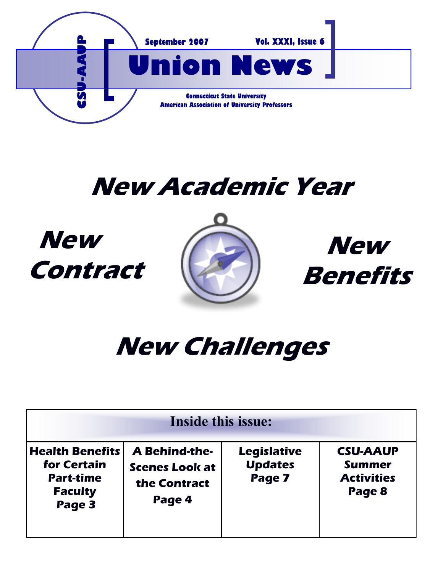

# **New Academic Year**

# **New Contract**





# **New Challenges**

| Inside this issue:                                                                    |                                                                         |                                                |                                                                 |  |  |  |  |  |
|---------------------------------------------------------------------------------------|-------------------------------------------------------------------------|------------------------------------------------|-----------------------------------------------------------------|--|--|--|--|--|
| <b>Health Benefits</b><br>for Certain<br><b>Part-time</b><br><b>Faculty</b><br>Page 3 | <b>A Behind-the-</b><br><b>Scenes Look at</b><br>the Contract<br>Page 4 | <b>Legislative</b><br><b>Updates</b><br>Page 7 | <b>CSU-AAUP</b><br><b>Summer</b><br><b>Activities</b><br>Page 8 |  |  |  |  |  |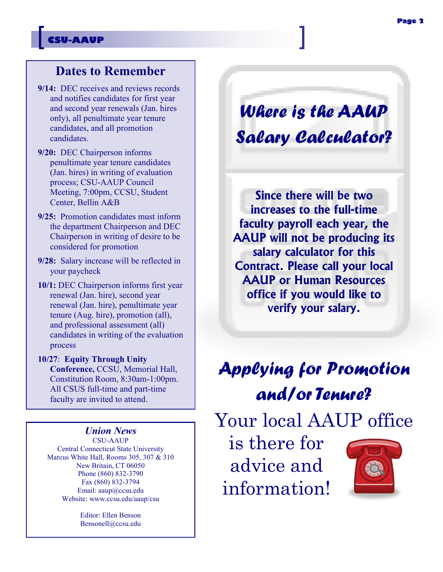#### **CSU-AAUP**

### **Dates to Remember**

- **9/14:** DEC receives and reviews records and notifies candidates for first year and second year renewals (Jan. hires only), all penultimate year tenure candidates, and all promotion candidates.
- **9/20:** DEC Chairperson informs penultimate year tenure candidates (Jan. hires) in writing of evaluation process; CSU-AAUP Council Meeting, 7:00pm, CCSU, Student Center, Bellin A&B
- **9/25:** Promotion candidates must inform the department Chairperson and DEC Chairperson in writing of desire to be considered for promotion
- **9/28:** Salary increase will be reflected in your paycheck
- **10/1:** DEC Chairperson informs first year renewal (Jan. hire), second year renewal (Jan. hire), penultimate year tenure (Aug. hire), promotion (all), and professional assessment (all) candidates in writing of the evaluation process
- **10/27**: **Equity Through Unity Conference,** CCSU, Memorial Hall, Constitution Room, 8:30am-1:00pm. All CSUS full-time and part-time faculty are invited to attend.

#### *Union News*

CSU-AAUP Central Connecticut State University Marcus White Hall, Rooms 305, 307 & 310 New Britain, CT 06050 Phone (860) 832-3790 Fax (860) 832-3794 Email: aaup@ccsu.edu Website: www.ccsu.edu/aaup/csu

> Editor: Ellen Benson Bensonell@ccsu.edu

*Where is the AAUP Salary Calculator?*

**Since there will be two increases to the full-time faculty payroll each year, the AAUP will not be producing its salary calculator for this Contract. Please call your local AAUP or Human Resources office if you would like to verify your salary.** 

## *Applying for Promotion and/or Tenure?*

Your local AAUP office

is there for advice and information!

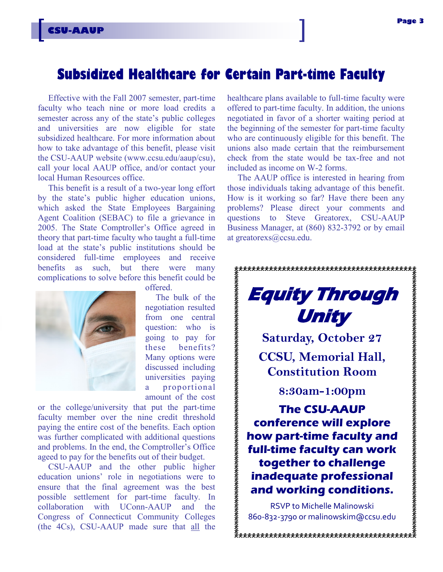### **Subsidized Healthcare for Certain Part-time Faculty**

Effective with the Fall 2007 semester, part-time faculty who teach nine or more load credits a semester across any of the state's public colleges and universities are now eligible for state subsidized healthcare. For more information about how to take advantage of this benefit, please visit the CSU-AAUP website (www.ccsu.edu/aaup/csu), call your local AAUP office, and/or contact your local Human Resources office.

This benefit is a result of a two-year long effort by the state's public higher education unions, which asked the State Employees Bargaining Agent Coalition (SEBAC) to file a grievance in 2005. The State Comptroller's Office agreed in theory that part-time faculty who taught a full-time load at the state's public institutions should be considered full-time employees and receive benefits as such, but there were many complications to solve before this benefit could be



**CSU-AAUP**

offered.

The bulk of the negotiation resulted from one central question: who is going to pay for these benefits? Many options were discussed including universities paying a proportional amount of the cost

or the college/university that put the part-time faculty member over the nine credit threshold paying the entire cost of the benefits. Each option was further complicated with additional questions and problems. In the end, the Comptroller's Office ageed to pay for the benefits out of their budget.

CSU-AAUP and the other public higher education unions' role in negotiations were to ensure that the final agreement was the best possible settlement for part-time faculty. In collaboration with UConn-AAUP and the Congress of Connecticut Community Colleges (the 4Cs), CSU-AAUP made sure that all the healthcare plans available to full-time faculty were offered to part-time faculty. In addition, the unions negotiated in favor of a shorter waiting period at the beginning of the semester for part-time faculty who are continuously eligible for this benefit. The unions also made certain that the reimbursement check from the state would be tax-free and not included as income on W-2 forms.

The AAUP office is interested in hearing from those individuals taking advantage of this benefit. How is it working so far? Have there been any problems? Please direct your comments and questions to Steve Greatorex, CSU-AAUP Business Manager, at (860) 832-3792 or by email at greatorexs@ccsu.edu.



RSVP to Michelle Malinowski 860-832-3790 or malinowskim@ccsu.edu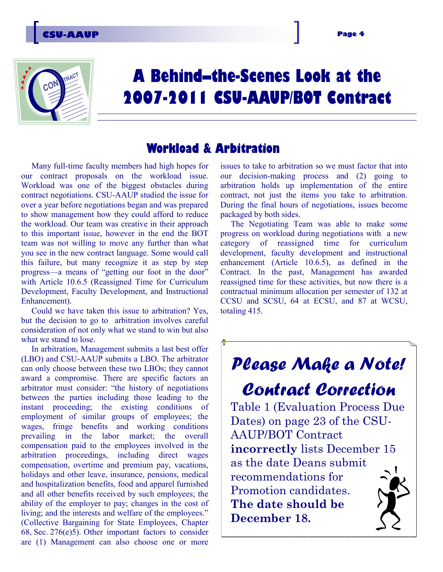

## **A Behind–the-Scenes Look at the 2007-2011 CSU-AAUP/BOT Contract**

### **Workload & Arbitration**

Many full-time faculty members had high hopes for our contract proposals on the workload issue. Workload was one of the biggest obstacles during contract negotiations. CSU-AAUP studied the issue for over a year before negotiations began and was prepared to show management how they could afford to reduce the workload. Our team was creative in their approach to this important issue, however in the end the BOT team was not willing to move any further than what you see in the new contract language. Some would call this failure, but many recognize it as step by step progress—a means of "getting our foot in the door" with Article 10.6.5 (Reassigned Time for Curriculum Development, Faculty Development, and Instructional Enhancement).

Could we have taken this issue to arbitration? Yes, but the decision to go to arbitration involves careful consideration of not only what we stand to win but also what we stand to lose.

In arbitration, Management submits a last best offer (LBO) and CSU-AAUP submits a LBO. The arbitrator can only choose between these two LBOs; they cannot award a compromise. There are specific factors an arbitrator must consider: "the history of negotiations between the parties including those leading to the instant proceeding; the existing conditions of employment of similar groups of employees; the wages, fringe benefits and working conditions prevailing in the labor market; the overall compensation paid to the employees involved in the arbitration proceedings, including direct wages compensation, overtime and premium pay, vacations, holidays and other leave, insurance, pensions, medical and hospitalization benefits, food and apparel furnished and all other benefits received by such employees; the ability of the employer to pay; changes in the cost of living; and the interests and welfare of the employees." (Collective Bargaining for State Employees, Chapter 68, Sec. 276(e)5). Other important factors to consider are (1) Management can also choose one or more

issues to take to arbitration so we must factor that into our decision-making process and (2) going to arbitration holds up implementation of the entire contract, not just the items you take to arbitration. During the final hours of negotiations, issues become packaged by both sides.

The Negotiating Team was able to make some progress on workload during negotiations with a new category of reassigned time for curriculum development, faculty development and instructional enhancement (Article 10.6.5), as defined in the Contract. In the past, Management has awarded reassigned time for these activities, but now there is a contractual minimum allocation per semester of 132 at CCSU and SCSU, 64 at ECSU, and 87 at WCSU, totaling 415.

## *Please Make a Note!*

*Contract Correction* Table 1 (Evaluation Process Due Dates) on page 23 of the CSU-AAUP/BOT Contract **incorrectly** lists December 15 as the date Deans submit recommendations for Promotion candidates. **The date should be December 18.**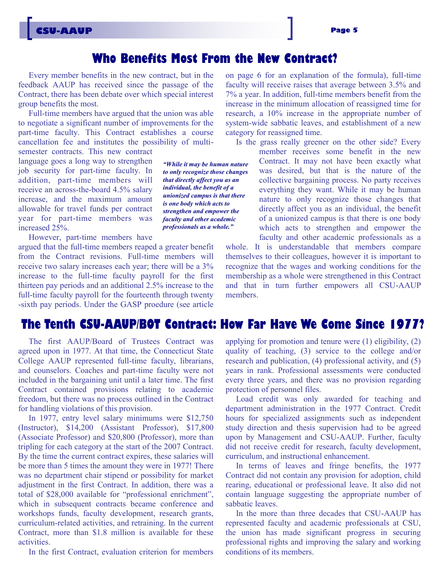### **Who Benefits Most From the New Contract?**

Every member benefits in the new contract, but in the feedback AAUP has received since the passage of the Contract, there has been debate over which special interest group benefits the most.

Full-time members have argued that the union was able to negotiate a significant number of improvements for the part-time faculty. This Contract establishes a course cancellation fee and institutes the possibility of multi-

semester contracts. This new contract language goes a long way to strengthen job security for part-time faculty. In addition, part-time members will receive an across-the-board 4.5% salary increase, and the maximum amount allowable for travel funds per contract year for part-time members was increased 25%.

However, part-time members have

argued that the full-time members reaped a greater benefit from the Contract revisions. Full-time members will receive two salary increases each year; there will be a 3% increase to the full-time faculty payroll for the first thirteen pay periods and an additional 2.5% increase to the full-time faculty payroll for the fourteenth through twenty -sixth pay periods. Under the GASP proedure (see article

*"While it may be human nature to only recognize those changes that directly affect you as an individual, the benefit of a unionized campus is that there is one body which acts to strengthen and empower the faculty and other academic professionals as a whole."*

on page 6 for an explanation of the formula), full-time faculty will receive raises that average between 3.5% and 7% a year. In addition, full-time members benefit from the increase in the minimum allocation of reassigned time for research, a 10% increase in the appropriate number of system-wide sabbatic leaves, and establishment of a new category for reassigned time.

Is the grass really greener on the other side? Every

member receives some benefit in the new Contract. It may not have been exactly what was desired, but that is the nature of the collective bargaining process. No party receives everything they want. While it may be human nature to only recognize those changes that directly affect you as an individual, the benefit of a unionized campus is that there is one body which acts to strengthen and empower the faculty and other academic professionals as a

whole. It is understandable that members compare themselves to their colleagues, however it is important to recognize that the wages and working conditions for the membership as a whole were strengthened in this Contract and that in turn further empowers all CSU-AAUP members.

#### **The Tenth CSU-AAUP/BOT Contract: How Far Have We Come Since 1977?**

The first AAUP/Board of Trustees Contract was agreed upon in 1977. At that time, the Connecticut State College AAUP represented full-time faculty, librarians, and counselors. Coaches and part-time faculty were not included in the bargaining unit until a later time. The first Contract contained provisions relating to academic freedom, but there was no process outlined in the Contract for handling violations of this provision.

In 1977, entry level salary minimums were \$12,750 (Instructor), \$14,200 (Assistant Professor), \$17,800 (Associate Professor) and \$20,800 (Professor), more than tripling for each category at the start of the 2007 Contract. By the time the current contract expires, these salaries will be more than 5 times the amount they were in 1977! There was no department chair stipend or possibility for market adjustment in the first Contract. In addition, there was a total of \$28,000 available for "professional enrichment", which in subsequent contracts became conference and workshops funds, faculty development, research grants, curriculum-related activities, and retraining. In the current Contract, more than \$1.8 million is available for these activities.

In the first Contract, evaluation criterion for members

applying for promotion and tenure were (1) eligibility, (2) quality of teaching, (3) service to the college and/or research and publication, (4) professional activity, and (5) years in rank. Professional assessments were conducted every three years, and there was no provision regarding protection of personnel files.

Load credit was only awarded for teaching and department administration in the 1977 Contract. Credit hours for specialized assignments such as independent study direction and thesis supervision had to be agreed upon by Management and CSU-AAUP. Further, faculty did not receive credit for research, faculty development, curriculum, and instructional enhancement.

In terms of leaves and fringe benefits, the 1977 Contract did not contain any provision for adoption, child rearing, educational or professional leave. It also did not contain language suggesting the appropriate number of sabbatic leaves.

In the more than three decades that CSU-AAUP has represented faculty and academic professionals at CSU, the union has made significant progress in securing professional rights and improving the salary and working conditions of its members.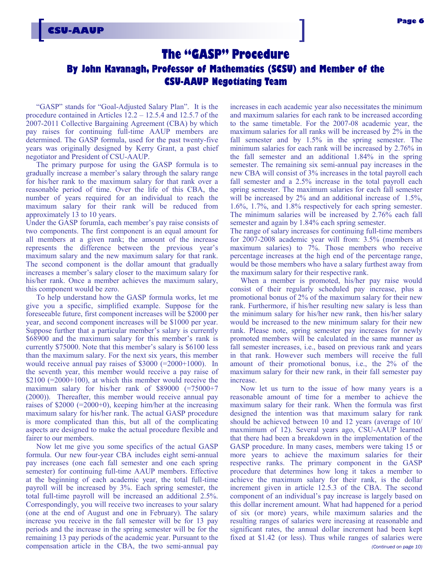#### **The "GASP" Procedure**

#### **By John Kavanagh, Professor of Mathematics (SCSU) and Member of the CSU-AAUP Negotiating Team**

"GASP" stands for "Goal-Adjusted Salary Plan". It is the procedure contained in Articles 12.2 – 12.5.4 and 12.5.7 of the 2007-2011 Collective Bargaining Agreement (CBA) by which pay raises for continuing full-time AAUP members are determined. The GASP formula, used for the past twenty-five years was originally designed by Kerry Grant, a past chief negotiator and President of CSU-AAUP.

The primary purpose for using the GASP formula is to gradually increase a member's salary through the salary range for his/her rank to the maximum salary for that rank over a reasonable period of time. Over the life of this CBA, the number of years required for an individual to reach the maximum salary for their rank will be reduced from approximately 13 to 10 years.

Under the GASP forumla, each member's pay raise consists of two components. The first component is an equal amount for all members at a given rank; the amount of the increase represents the difference between the previous year's maximum salary and the new maximum salary for that rank. The second component is the dollar amount that gradually increases a member's salary closer to the maximum salary for his/her rank. Once a member achieves the maximum salary, this component would be zero.

To help understand how the GASP formula works, let me give you a specific, simplified example. Suppose for the foreseeable future, first component increases will be \$2000 per year, and second component increases will be \$1000 per year. Suppose further that a particular member's salary is currently \$68900 and the maximum salary for this member's rank is currently \$75000. Note that this member's salary is \$6100 less than the maximum salary. For the next six years, this member would receive annual pay raises of \$3000 (=2000+1000). In the seventh year, this member would receive a pay raise of  $$2100 (=2000+100)$ , at which this member would receive the maximum salary for his/her rank of \$89000 (=75000+7 (2000)). Thereafter, this member would receive annual pay raises of  $$2000 (=2000+0)$ , keeping him/her at the increasing maximum salary for his/her rank. The actual GASP procedure is more complicated than this, but all of the complicating aspects are designed to make the actual procedure flexible and fairer to our members.

Now let me give you some specifics of the actual GASP formula. Our new four-year CBA includes eight semi-annual pay increases (one each fall semester and one each spring semester) for continuing full-time AAUP members. Effective at the beginning of each academic year, the total full-time payroll will be increased by 3%. Each spring semester, the total full-time payroll will be increased an additional 2.5%. Correspondingly, you will receive two increases to your salary (one at the end of August and one in February). The salary increase you receive in the fall semester will be for 13 pay periods and the increase in the spring semester will be for the remaining 13 pay periods of the academic year. Pursuant to the compensation article in the CBA, the two semi-annual pay

increases in each academic year also necessitates the minimum and maximum salaries for each rank to be increased according to the same timetable. For the 2007-08 academic year, the maximum salaries for all ranks will be increased by 2% in the fall semester and by 1.5% in the spring semester. The minimum salaries for each rank will be increased by 2.76% in the fall semester and an additional 1.84% in the spring semester. The remaining six semi-annual pay increases in the new CBA will consist of 3% increases in the total payroll each fall semester and a 2.5% increase in the total payroll each spring semester. The maximum salaries for each fall semester will be increased by 2% and an additional increase of 1.5%. 1.6%, 1.7%, and 1.8% respectively for each spring semester. The minimum salaries will be increased by 2.76% each fall semester and again by 1.84% each spring semester.

The range of salary increases for continuing full-time members for 2007-2008 academic year will from: 3.5% (members at maximum salaries) to 7%. Those members who receive percentage increases at the high end of the percentage range, would be those members who have a salary furthest away from the maximum salary for their respective rank.

When a member is promoted, his/her pay raise would consist of their regularly scheduled pay increase, plus a promotional bonus of 2% of the maximum salary for their new rank. Furthermore, if his/her resulting new salary is less than the minimum salary for his/her new rank, then his/her salary would be increased to the new minimum salary for their new rank. Please note, spring semester pay increases for newly promoted members will be calculated in the same manner as fall semester increases, i.e., based on previous rank and years in that rank. However such members will receive the full amount of their promotional bonus, i.e., the 2% of the maximum salary for their new rank, in their fall semester pay increase.

Now let us turn to the issue of how many years is a reasonable amount of time for a member to achieve the maximum salary for their rank. When the formula was first designed the intention was that maximum salary for rank should be achieved between 10 and 12 years (average of 10/ maxmimum of 12). Several years ago, CSU-AAUP learned that there had been a breakdown in the implementation of the GASP procedure. In many cases, members were taking 15 or more years to achieve the maximum salaries for their respective ranks. The primary component in the GASP procedure that determines how long it takes a member to achieve the maximum salary for their rank, is the dollar increment given in article 12.5.3 of the CBA. The second component of an individual's pay increase is largely based on this dollar increment amount. What had happened for a period of six (or more) years, while maximum salaries and the resulting ranges of salaries were increasing at reasonable and significant rates, the annual dollar increment had been kept fixed at \$1.42 (or less). Thus while ranges of salaries were *(Continued on page 10)*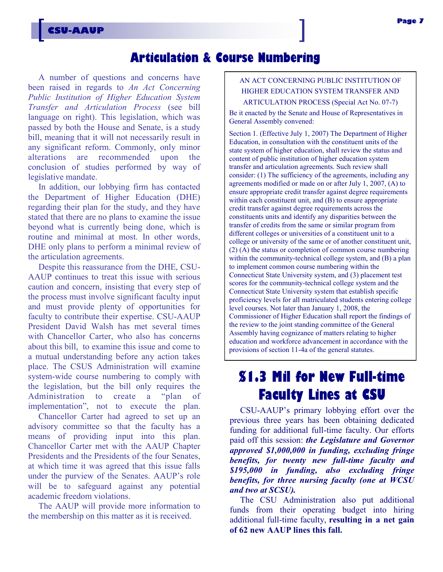### **Articulation & Course Numbering**

A number of questions and concerns have been raised in regards to *An Act Concerning Public Institution of Higher Education System Transfer and Articulation Process* (see bill language on right). This legislation, which was passed by both the House and Senate, is a study bill, meaning that it will not necessarily result in any significant reform. Commonly, only minor alterations are recommended upon the conclusion of studies performed by way of legislative mandate.

In addition, our lobbying firm has contacted the Department of Higher Education (DHE) regarding their plan for the study, and they have stated that there are no plans to examine the issue beyond what is currently being done, which is routine and minimal at most. In other words, DHE only plans to perform a minimal review of the articulation agreements.

Despite this reassurance from the DHE, CSU-AAUP continues to treat this issue with serious caution and concern, insisting that every step of the process must involve significant faculty input and must provide plenty of opportunities for faculty to contribute their expertise. CSU-AAUP President David Walsh has met several times with Chancellor Carter, who also has concerns about this bill, to examine this issue and come to a mutual understanding before any action takes place. The CSUS Administration will examine system-wide course numbering to comply with the legislation, but the bill only requires the Administration to create a "plan of implementation", not to execute the plan.

Chancellor Carter had agreed to set up an advisory committee so that the faculty has a means of providing input into this plan. Chancellor Carter met with the AAUP Chapter Presidents and the Presidents of the four Senates, at which time it was agreed that this issue falls under the purview of the Senates. AAUP's role will be to safeguard against any potential academic freedom violations.

The AAUP will provide more information to the membership on this matter as it is received.

#### AN ACT CONCERNING PUBLIC INSTITUTION OF HIGHER EDUCATION SYSTEM TRANSFER AND ARTICULATION PROCESS (Special Act No. 07-7)

Be it enacted by the Senate and House of Representatives in General Assembly convened:

Section 1. (Effective July 1, 2007) The Department of Higher Education, in consultation with the constituent units of the state system of higher education, shall review the status and content of public institution of higher education system transfer and articulation agreements. Such review shall consider: (1) The sufficiency of the agreements, including any agreements modified or made on or after July 1, 2007, (A) to ensure appropriate credit transfer against degree requirements within each constituent unit, and (B) to ensure appropriate credit transfer against degree requirements across the constituents units and identify any disparities between the transfer of credits from the same or similar program from different colleges or universities of a constituent unit to a college or university of the same or of another constituent unit, (2) (A) the status or completion of common course numbering within the community-technical college system, and (B) a plan to implement common course numbering within the Connecticut State University system, and (3) placement test scores for the community-technical college system and the Connecticut State University system that establish specific proficiency levels for all matriculated students entering college level courses. Not later than January 1, 2008, the Commissioner of Higher Education shall report the findings of the review to the joint standing committee of the General Assembly having cognizance of matters relating to higher education and workforce advancement in accordance with the provisions of section 11-4a of the general statutes.

### **\$1.3 Mil for New Full-time Faculty Lines at CSU**

CSU-AAUP's primary lobbying effort over the previous three years has been obtaining dedicated funding for additional full-time faculty. Our efforts paid off this session: *the Legislature and Governor approved \$1,000,000 in funding, excluding fringe benefits, for twenty new full-time faculty and \$195,000 in funding, also excluding fringe benefits, for three nursing faculty (one at WCSU and two at SCSU).* 

The CSU Administration also put additional funds from their operating budget into hiring additional full-time faculty, **resulting in a net gain of 62 new AAUP lines this fall.**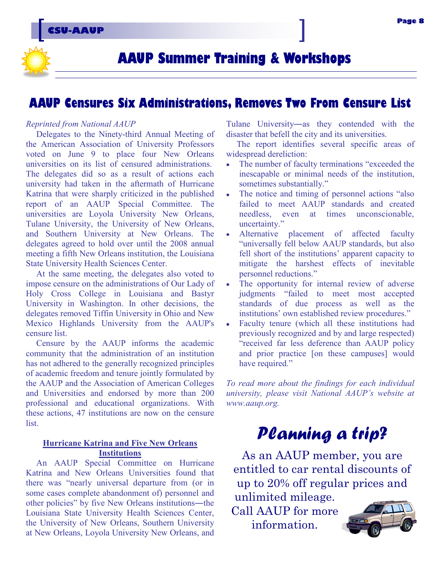### **AAUP Summer Training & Workshops**

### **AAUP Censures Six Administrations, Removes Two From Censure List**

#### *Reprinted from National AAUP*

Delegates to the Ninety-third Annual Meeting of the American Association of University Professors voted on June 9 to place four New Orleans universities on its list of censured administrations. The delegates did so as a result of actions each university had taken in the aftermath of Hurricane Katrina that were sharply criticized in the published report of an AAUP Special Committee. The universities are Loyola University New Orleans, Tulane University, the University of New Orleans, and Southern University at New Orleans. The delegates agreed to hold over until the 2008 annual meeting a fifth New Orleans institution, the Louisiana State University Health Sciences Center.

At the same meeting, the delegates also voted to impose censure on the administrations of Our Lady of Holy Cross College in Louisiana and Bastyr University in Washington. In other decisions, the delegates removed Tiffin University in Ohio and New Mexico Highlands University from the AAUP's censure list.

Censure by the AAUP informs the academic community that the administration of an institution has not adhered to the generally recognized principles of academic freedom and tenure jointly formulated by the AAUP and the Association of American Colleges and Universities and endorsed by more than 200 professional and educational organizations. With these actions, 47 institutions are now on the censure list.

#### **Hurricane Katrina and Five New Orleans Institutions**

An AAUP Special Committee on Hurricane Katrina and New Orleans Universities found that there was "nearly universal departure from (or in some cases complete abandonment of) personnel and other policies" by five New Orleans institutions—the Louisiana State University Health Sciences Center, the University of New Orleans, Southern University at New Orleans, Loyola University New Orleans, and

Tulane University―as they contended with the disaster that befell the city and its universities.

The report identifies several specific areas of widespread dereliction:

- The number of faculty terminations "exceeded the inescapable or minimal needs of the institution, sometimes substantially."
- The notice and timing of personnel actions "also"  $\bullet$ failed to meet AAUP standards and created needless, even at times unconscionable, uncertainty."
- Alternative placement of affected faculty "universally fell below AAUP standards, but also fell short of the institutions' apparent capacity to mitigate the harshest effects of inevitable personnel reductions."
- The opportunity for internal review of adverse judgments "failed to meet most accepted standards of due process as well as the institutions' own established review procedures."
- Faculty tenure (which all these institutions had  $\bullet$ previously recognized and by and large respected) "received far less deference than AAUP policy and prior practice [on these campuses] would have required."

*To read more about the findings for each individual university, please visit National AAUP's website at www.aaup.org.* 

### *Planning a trip?*

As an AAUP member, you are entitled to car rental discounts of up to 20% off regular prices and unlimited mileage.

Call AAUP for more information.

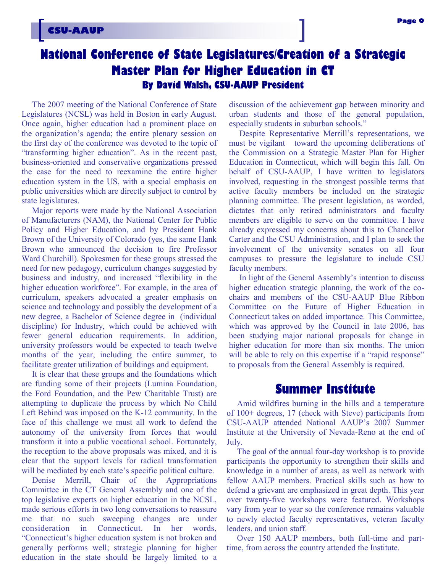### **National Conference of State Legislatures/Creation of a Strategic Master Plan for Higher Education in CT By David Walsh, CSU-AAUP President**

The 2007 meeting of the National Conference of State Legislatures (NCSL) was held in Boston in early August. Once again, higher education had a prominent place on the organization's agenda; the entire plenary session on the first day of the conference was devoted to the topic of "transforming higher education". As in the recent past, business-oriented and conservative organizations pressed the case for the need to reexamine the entire higher education system in the US, with a special emphasis on public universities which are directly subject to control by state legislatures.

Major reports were made by the National Association of Manufacturers (NAM), the National Center for Public Policy and Higher Education, and by President Hank Brown of the University of Colorado (yes, the same Hank Brown who announced the decision to fire Professor Ward Churchill). Spokesmen for these groups stressed the need for new pedagogy, curriculum changes suggested by business and industry, and increased "flexibility in the higher education workforce". For example, in the area of curriculum, speakers advocated a greater emphasis on science and technology and possibly the development of a new degree, a Bachelor of Science degree in (individual discipline) for Industry, which could be achieved with fewer general education requirements. In addition, university professors would be expected to teach twelve months of the year, including the entire summer, to facilitate greater utilization of buildings and equipment.

It is clear that these groups and the foundations which are funding some of their projects (Lumina Foundation, the Ford Foundation, and the Pew Charitable Trust) are attempting to duplicate the process by which No Child Left Behind was imposed on the K-12 community. In the face of this challenge we must all work to defend the autonomy of the university from forces that would transform it into a public vocational school. Fortunately, the reception to the above proposals was mixed, and it is clear that the support levels for radical transformation will be mediated by each state's specific political culture.

Denise Merrill, Chair of the Appropriations Committee in the CT General Assembly and one of the top legislative experts on higher education in the NCSL, made serious efforts in two long conversations to reassure me that no such sweeping changes are under consideration in Connecticut. In her words, ―Connecticut's higher education system is not broken and generally performs well; strategic planning for higher education in the state should be largely limited to a

discussion of the achievement gap between minority and urban students and those of the general population, especially students in suburban schools."

Despite Representative Merrill's representations, we must be vigilant toward the upcoming deliberations of the Commission on a Strategic Master Plan for Higher Education in Connecticut, which will begin this fall. On behalf of CSU-AAUP, I have written to legislators involved, requesting in the strongest possible terms that active faculty members be included on the strategic planning committee. The present legislation, as worded, dictates that only retired administrators and faculty members are eligible to serve on the committee. I have already expressed my concerns about this to Chancellor Carter and the CSU Administration, and I plan to seek the involvement of the university senates on all four campuses to pressure the legislature to include CSU faculty members.

In light of the General Assembly's intention to discuss higher education strategic planning, the work of the cochairs and members of the CSU-AAUP Blue Ribbon Committee on the Future of Higher Education in Connecticut takes on added importance. This Committee, which was approved by the Council in late 2006, has been studying major national proposals for change in higher education for more than six months. The union will be able to rely on this expertise if a "rapid response" to proposals from the General Assembly is required.

### **Summer Institute**

Amid wildfires burning in the hills and a temperature of 100+ degrees, 17 (check with Steve) participants from CSU-AAUP attended National AAUP's 2007 Summer Institute at the University of Nevada-Reno at the end of July.

The goal of the annual four-day workshop is to provide participants the opportunity to strengthen their skills and knowledge in a number of areas, as well as network with fellow AAUP members. Practical skills such as how to defend a grievant are emphasized in great depth. This year over twenty-five workshops were featured. Workshops vary from year to year so the conference remains valuable to newly elected faculty representatives, veteran faculty leaders, and union staff.

Over 150 AAUP members, both full-time and parttime, from across the country attended the Institute.